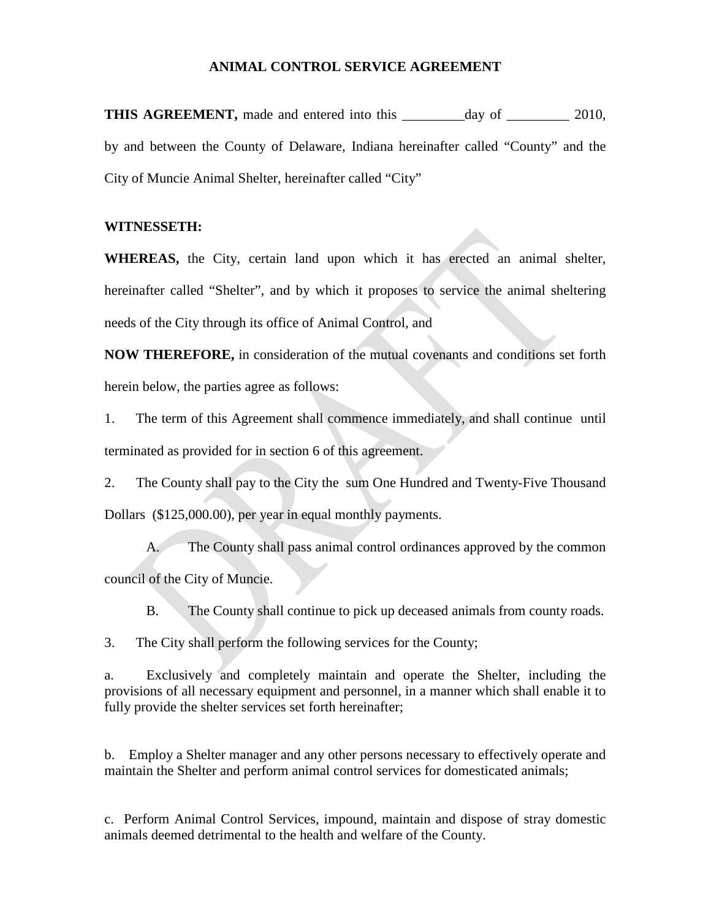## **ANIMAL CONTROL SERVICE AGREEMENT**

**THIS AGREEMENT,** made and entered into this \_\_\_\_\_\_\_\_day of \_\_\_\_\_\_\_\_\_ 2010, by and between the County of Delaware, Indiana hereinafter called "County" and the City of Muncie Animal Shelter, hereinafter called "City"

## **WITNESSETH:**

**WHEREAS,** the City, certain land upon which it has erected an animal shelter, hereinafter called "Shelter", and by which it proposes to service the animal sheltering needs of the City through its office of Animal Control, and

**NOW THEREFORE,** in consideration of the mutual covenants and conditions set forth herein below, the parties agree as follows:

1. The term of this Agreement shall commence immediately, and shall continue until terminated as provided for in section 6 of this agreement.

2. The County shall pay to the City the sum One Hundred and Twenty-Five Thousand Dollars (\$125,000.00), per year in equal monthly payments.

A. The County shall pass animal control ordinances approved by the common council of the City of Muncie.

B. The County shall continue to pick up deceased animals from county roads.

3. The City shall perform the following services for the County;

a. Exclusively and completely maintain and operate the Shelter, including the provisions of all necessary equipment and personnel, in a manner which shall enable it to fully provide the shelter services set forth hereinafter;

b. Employ a Shelter manager and any other persons necessary to effectively operate and maintain the Shelter and perform animal control services for domesticated animals;

c. Perform Animal Control Services, impound, maintain and dispose of stray domestic animals deemed detrimental to the health and welfare of the County.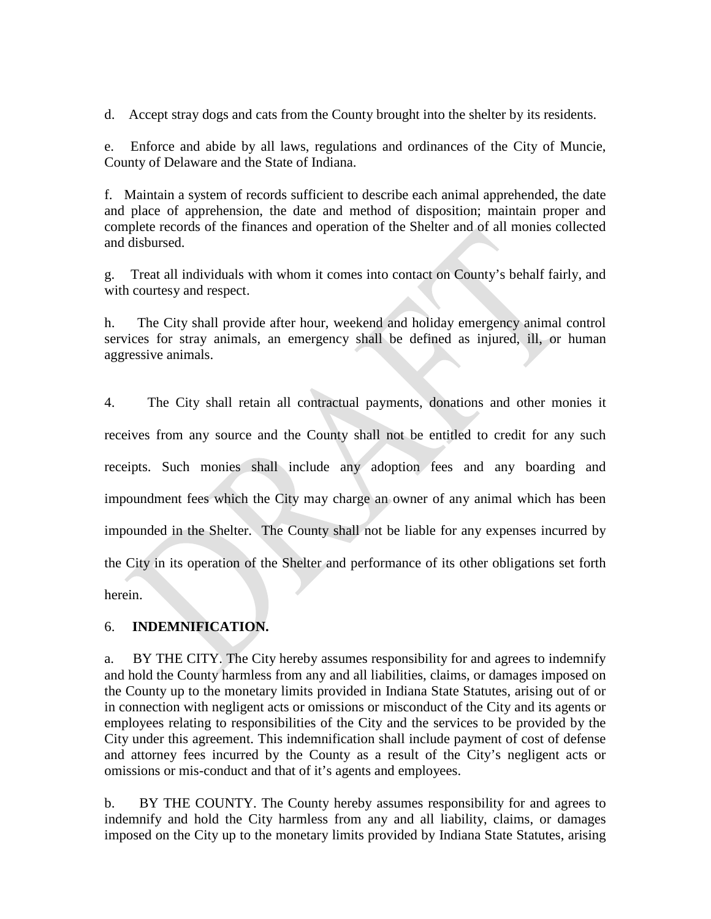d. Accept stray dogs and cats from the County brought into the shelter by its residents.

e. Enforce and abide by all laws, regulations and ordinances of the City of Muncie, County of Delaware and the State of Indiana.

f. Maintain a system of records sufficient to describe each animal apprehended, the date and place of apprehension, the date and method of disposition; maintain proper and complete records of the finances and operation of the Shelter and of all monies collected and disbursed.

g. Treat all individuals with whom it comes into contact on County's behalf fairly, and with courtesy and respect.

h. The City shall provide after hour, weekend and holiday emergency animal control services for stray animals, an emergency shall be defined as injured, ill, or human aggressive animals.

4. The City shall retain all contractual payments, donations and other monies it receives from any source and the County shall not be entitled to credit for any such receipts. Such monies shall include any adoption fees and any boarding and impoundment fees which the City may charge an owner of any animal which has been impounded in the Shelter. The County shall not be liable for any expenses incurred by the City in its operation of the Shelter and performance of its other obligations set forth herein.

## 6. **INDEMNIFICATION.**

a. BY THE CITY. The City hereby assumes responsibility for and agrees to indemnify and hold the County harmless from any and all liabilities, claims, or damages imposed on the County up to the monetary limits provided in Indiana State Statutes, arising out of or in connection with negligent acts or omissions or misconduct of the City and its agents or employees relating to responsibilities of the City and the services to be provided by the City under this agreement. This indemnification shall include payment of cost of defense and attorney fees incurred by the County as a result of the City's negligent acts or omissions or mis-conduct and that of it's agents and employees.

b. BY THE COUNTY. The County hereby assumes responsibility for and agrees to indemnify and hold the City harmless from any and all liability, claims, or damages imposed on the City up to the monetary limits provided by Indiana State Statutes, arising